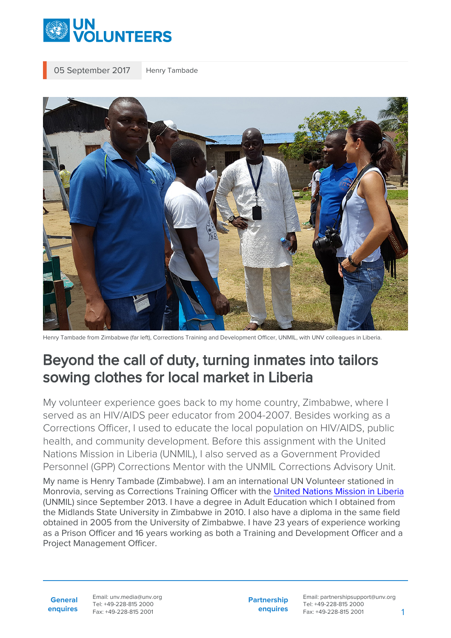

05 September 2017 Henry Tambade



Henry Tambade from Zimbabwe (far left), Corrections Training and Development Officer, UNMIL, with UNV colleagues in Liberia.

## Beyond the call of duty, turning inmates into tailors sowing clothes for local market in Liberia

My volunteer experience goes back to my home country, Zimbabwe, where I served as an HIV/AIDS peer educator from 2004-2007. Besides working as a Corrections Officer, I used to educate the local population on HIV/AIDS, public health, and community development. Before this assignment with the United Nations Mission in Liberia (UNMIL), I also served as a Government Provided Personnel (GPP) Corrections Mentor with the UNMIL Corrections Advisory Unit. My name is Henry Tambade (Zimbabwe). I am an international UN Volunteer stationed in Monrovia, serving as Corrections Training Officer with the [United Nations Mission in Liberia](https://unmil.unmissions.org/) (UNMIL) since September 2013. I have a degree in Adult Education which I obtained from the Midlands State University in Zimbabwe in 2010. I also have a diploma in the same field obtained in 2005 from the University of Zimbabwe. I have 23 years of experience working as a Prison Officer and 16 years working as both a Training and Development Officer and a Project Management Officer.

**General enquires** Email: unv.media@unv.org Tel: +49-228-815 2000 Fax: +49-228-815 2001

**Partnership enquires** Email: partnershipsupport@unv.org Tel: +49-228-815 2000 Fax: +49-228-815 2001 1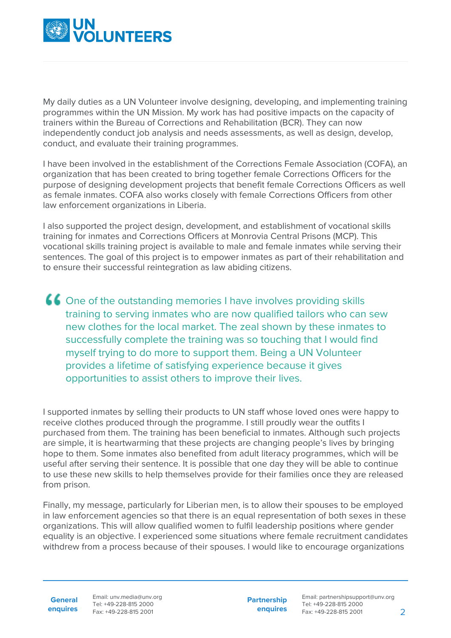

My daily duties as a UN Volunteer involve designing, developing, and implementing training programmes within the UN Mission. My work has had positive impacts on the capacity of trainers within the Bureau of Corrections and Rehabilitation (BCR). They can now independently conduct job analysis and needs assessments, as well as design, develop, conduct, and evaluate their training programmes.

I have been involved in the establishment of the Corrections Female Association (COFA), an organization that has been created to bring together female Corrections Officers for the purpose of designing development projects that benefit female Corrections Officers as well as female inmates. COFA also works closely with female Corrections Officers from other law enforcement organizations in Liberia.

I also supported the project design, development, and establishment of vocational skills training for inmates and Corrections Officers at Monrovia Central Prisons (MCP). This vocational skills training project is available to male and female inmates while serving their sentences. The goal of this project is to empower inmates as part of their rehabilitation and to ensure their successful reintegration as law abiding citizens.

One of the outstanding memories I have involves providing skills training to serving inmates who are now qualified tailors who can sew new clothes for the local market. The zeal shown by these inmates to successfully complete the training was so touching that I would find myself trying to do more to support them. Being a UN Volunteer provides a lifetime of satisfying experience because it gives opportunities to assist others to improve their lives.

I supported inmates by selling their products to UN staff whose loved ones were happy to receive clothes produced through the programme. I still proudly wear the outfits I purchased from them. The training has been beneficial to inmates. Although such projects are simple, it is heartwarming that these projects are changing people's lives by bringing hope to them. Some inmates also benefited from adult literacy programmes, which will be useful after serving their sentence. It is possible that one day they will be able to continue to use these new skills to help themselves provide for their families once they are released from prison.

Finally, my message, particularly for Liberian men, is to allow their spouses to be employed in law enforcement agencies so that there is an equal representation of both sexes in these organizations. This will allow qualified women to fulfil leadership positions where gender equality is an objective. I experienced some situations where female recruitment candidates withdrew from a process because of their spouses. I would like to encourage organizations

**General enquires** Email: unv.media@unv.org Tel: +49-228-815 2000 Fax: +49-228-815 2001

**Partnership enquires**

Email: partnershipsupport@unv.org Tel: +49-228-815 2000 Fax: +49-228-815 2001 2